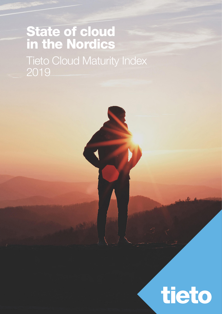# State of cloud in the Nordics Tieto Cloud Maturity Index 2019

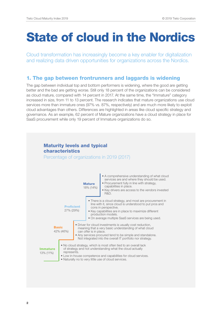# State of cloud in the Nordics

Cloud transformation has increasingly become a key enabler for digitalization and realizing data driven opportunities for organizations across the Nordics.

### 1. The gap between frontrunners and laggards is widening

The gap between individual top and bottom performers is widening, where the good are getting better and the bad are getting worse. Still only 18 percent of the organizations can be considered as cloud mature, compared with 14 percent in 2017. At the same time, the "Immature" category increased in size, from 11 to 13 percent. The research indicates that mature organizations use cloud services more than immature ones (97% vs. 87%, respectively) and are much more likely to exploit cloud advantages than others. Differences are highlighted in areas like cloud specific strategy and governance. As an example, 62 percent of Mature organizations have a cloud strategy in place for SaaS procurement while only 19 percent of Immature organizations do so.

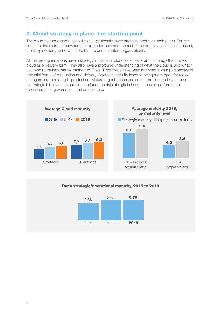### 2. Cloud strategy in place, the starting point

The cloud mature organizations display significantly lower strategic debt than their peers. For the first time, the distance between the top performers and the rest of the organizations has increased, creating a wider gap between the Mature and Immature organizations.

All mature organizations have a strategy in place for cloud services or an IT strategy that covers cloud as a delivery form. They also have a profound understanding of what the cloud is and what it can, and more importantly, cannot do. Their IT portfolios have been analysed from a perspective of potential forms of production and delivery. Strategic maturity leads to being more open for radical changes and rethinking IT production. Mature organizations dedicate more time and resources to strategic initiatives that provide the fundamentals of digital change, such as performance measurements, governance, and architecture.



#### Ratio strategic/operational maturity, 2015 to 2019

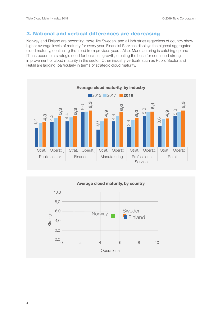### 3. National and vertical differences are decreasing

Norway and Finland are becoming more like Sweden, and all industries regardless of country show higher average levels of maturity for every year. Financial Services displays the highest aggregated cloud maturity, continuing the trend from previous years. Also, Manufacturing is catching up and IT has become a strategic need for business growth, creating the base for continued strong improvement of cloud maturity in the sector. Other industry verticals such as Public Sector and Retail are lagging, particularly in terms of strategic cloud maturity.



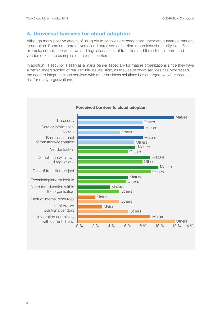## 4. Universal barriers for cloud adoption

Although many positive effects of using cloud services are recognized, there are numerous barriers to adoption. Some are more universal and perceived as barriers regardless of maturity level. For example, compliance with laws and regulations, cost of transition and the risk of platform and vendor lock-in are examples of universal barriers.

In addition, IT security is seen as a major barrier especially for mature organizations since they have a better understanding of real security issues. Also, as the use of cloud services has progressed, the need to integrate cloud services with other business solutions has emerged, which is seen as a risk for many organizations.



5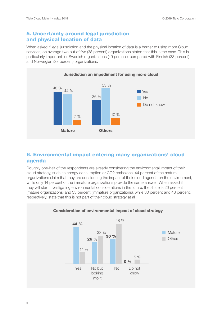### 5. Uncertainty around legal jurisdiction and physical location of data

When asked if legal jurisdiction and the physical location of data is a barrier to using more Cloud services, on average two out of five (38 percent) organizations stated that this is the case. This is particularly important for Swedish organizations (49 percent), compared with Finnish (33 percent) and Norwegian (38 percent) organizations.



### 6. Environmental impact entering many organizations' cloud agenda

Roughly one-half of the respondents are already considering the environmental impact of their cloud strategy, such as energy consumption or CO2 emissions. 44 percent of the mature organizations claim that they are considering the impact of their cloud agenda on the environment, while only 14 percent of the immature organizations provide the same answer. When asked if they will start investigating environmental considerations in the future, the share is 26 percent (mature organizations) and 33 percent (immature organizations), while 30 percent and 48 percent, respectively, state that this is not part of their cloud strategy at all.



#### 6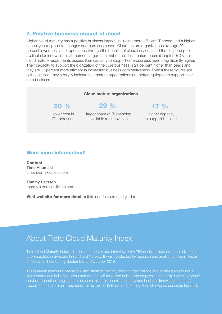### 7. Positive business impact of cloud

Higher cloud maturity has a positive business impact, including more efficient IT spend and a higher capacity to respond to changes and business needs. Cloud mature organizations average 20 percent lower costs in IT operations through the benefits of cloud services, and the IT spend pool available for innovation is 29 percent larger than that of their less mature peers (Chapter 9). Overall, cloud mature respondents assess their capacity to support core business needs significantly higher. Their capacity to support the digitization of the core business is 21 percent higher than peers and they are 15 percent more efficient in increasing business competitiveness. Even if these figures are self-assessed, they strongly indicate that mature organizations are better equipped to support their core business.

#### Cloud mature organizations

lower cost in IT operations

larger share of IT spending available for innovation

## $20 \%$  29 % 17 %

higher capacity to support business

#### Want more information?

Contact Timo Ahomäki [timo.ahomaki@tieto.com](mailto:timo.ahomaki%40tieto.com?subject=)

Tommy Persson [tommy.s.persson@tieto.com](mailto:tommy.s.persson%40tieto.com%20?subject=) 

Visit website for more details: [tieto.com/cloudmaturityindex](https://www.tieto.com/cloudmaturityindex?utm_source=download-material&utm_medium=short-paper&utm_campaign=cloud-maturity-index-2019)

# About Tieto Cloud Maturity Index

Tieto Cloud Maturity Index is based on a survey and interviews with 284 decision-makers in the private and public sectors in Sweden, Finland and Norway. It was conducted by research and analyst company Radar on behalf of Tieto during September and October 2019.

The research measures operational and strategic maturity among organizations and is based on around 30 key performance indicators, assumptions and self-assessed indices encompassing the entire lifecycle of cloud service application, ranging from business rationale, sourcing strategy and business knowledge to actual execution and return on investment. This is the fourth time that Tieto, together with Radar, conducts the study.